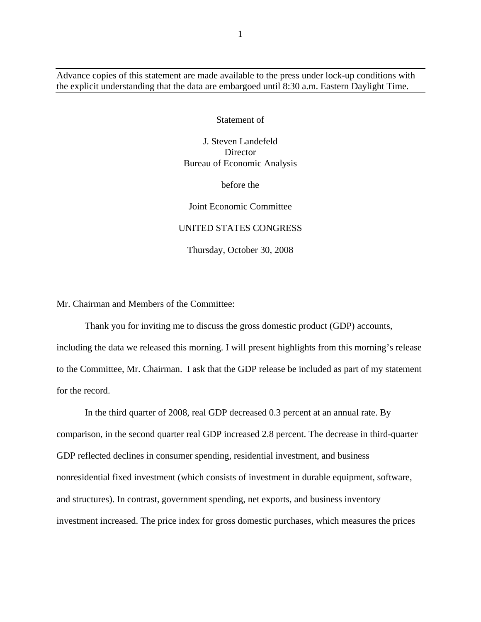Advance copies of this statement are made available to the press under lock-up conditions with the explicit understanding that the data are embargoed until 8:30 a.m. Eastern Daylight Time.

Statement of

J. Steven Landefeld Director Bureau of Economic Analysis

before the

Joint Economic Committee

## UNITED STATES CONGRESS

Thursday, October 30, 2008

Mr. Chairman and Members of the Committee:

Thank you for inviting me to discuss the gross domestic product (GDP) accounts, including the data we released this morning. I will present highlights from this morning's release to the Committee, Mr. Chairman. I ask that the GDP release be included as part of my statement for the record.

In the third quarter of 2008, real GDP decreased 0.3 percent at an annual rate. By comparison, in the second quarter real GDP increased 2.8 percent. The decrease in third-quarter GDP reflected declines in consumer spending, residential investment, and business nonresidential fixed investment (which consists of investment in durable equipment, software, and structures). In contrast, government spending, net exports, and business inventory investment increased. The price index for gross domestic purchases, which measures the prices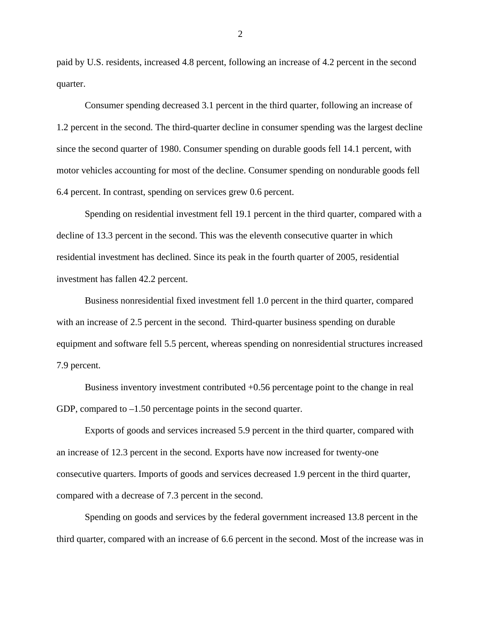paid by U.S. residents, increased 4.8 percent, following an increase of 4.2 percent in the second quarter.

Consumer spending decreased 3.1 percent in the third quarter, following an increase of 1.2 percent in the second. The third-quarter decline in consumer spending was the largest decline since the second quarter of 1980. Consumer spending on durable goods fell 14.1 percent, with motor vehicles accounting for most of the decline. Consumer spending on nondurable goods fell 6.4 percent. In contrast, spending on services grew 0.6 percent.

Spending on residential investment fell 19.1 percent in the third quarter, compared with a decline of 13.3 percent in the second. This was the eleventh consecutive quarter in which residential investment has declined. Since its peak in the fourth quarter of 2005, residential investment has fallen 42.2 percent.

Business nonresidential fixed investment fell 1.0 percent in the third quarter, compared with an increase of 2.5 percent in the second. Third-quarter business spending on durable equipment and software fell 5.5 percent, whereas spending on nonresidential structures increased 7.9 percent.

Business inventory investment contributed +0.56 percentage point to the change in real GDP, compared to –1.50 percentage points in the second quarter.

Exports of goods and services increased 5.9 percent in the third quarter, compared with an increase of 12.3 percent in the second. Exports have now increased for twenty-one consecutive quarters. Imports of goods and services decreased 1.9 percent in the third quarter, compared with a decrease of 7.3 percent in the second.

Spending on goods and services by the federal government increased 13.8 percent in the third quarter, compared with an increase of 6.6 percent in the second. Most of the increase was in

2